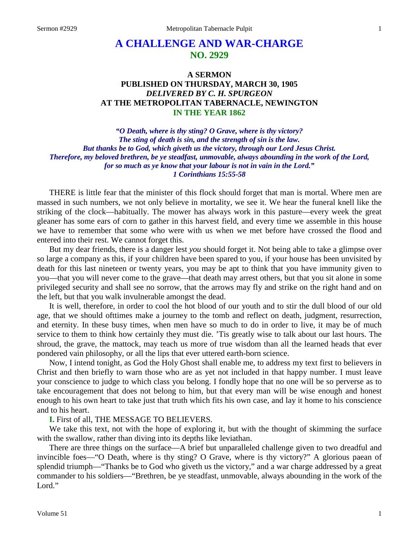# **A CHALLENGE AND WAR-CHARGE NO. 2929**

# **A SERMON PUBLISHED ON THURSDAY, MARCH 30, 1905** *DELIVERED BY C. H. SPURGEON* **AT THE METROPOLITAN TABERNACLE, NEWINGTON IN THE YEAR 1862**

*"O Death, where is thy sting? O Grave, where is thy victory? The sting of death is sin, and the strength of sin is the law. But thanks be to God, which giveth us the victory, through our Lord Jesus Christ. Therefore, my beloved brethren, be ye steadfast, unmovable, always abounding in the work of the Lord, for so much as ye know that your labour is not in vain in the Lord." 1 Corinthians 15:55-58*

THERE is little fear that the minister of this flock should forget that man is mortal. Where men are massed in such numbers, we not only believe in mortality, we see it. We hear the funeral knell like the striking of the clock—habitually. The mower has always work in this pasture—every week the great gleaner has some ears of corn to gather in this harvest field, and every time we assemble in this house we have to remember that some who were with us when we met before have crossed the flood and entered into their rest. We cannot forget this.

But my dear friends, there is a danger lest *you* should forget it. Not being able to take a glimpse over so large a company as this, if your children have been spared to you, if your house has been unvisited by death for this last nineteen or twenty years, you may be apt to think that you have immunity given to you—that you will never come to the grave—that death may arrest others, but that you sit alone in some privileged security and shall see no sorrow, that the arrows may fly and strike on the right hand and on the left, but that you walk invulnerable amongst the dead.

It is well, therefore, in order to cool the hot blood of our youth and to stir the dull blood of our old age, that we should ofttimes make a journey to the tomb and reflect on death, judgment, resurrection, and eternity. In these busy times, when men have so much to do in order to live, it may be of much service to them to think how certainly they must die. 'Tis greatly wise to talk about our last hours. The shroud, the grave, the mattock, may teach us more of true wisdom than all the learned heads that ever pondered vain philosophy, or all the lips that ever uttered earth-born science.

Now, I intend tonight, as God the Holy Ghost shall enable me, to address my text first to believers in Christ and then briefly to warn those who are as yet not included in that happy number. I must leave your conscience to judge to which class you belong. I fondly hope that no one will be so perverse as to take encouragement that does not belong to him, but that every man will be wise enough and honest enough to his own heart to take just that truth which fits his own case, and lay it home to his conscience and to his heart.

### **I.** First of all, THE MESSAGE TO BELIEVERS.

We take this text, not with the hope of exploring it, but with the thought of skimming the surface with the swallow, rather than diving into its depths like leviathan.

There are three things on the surface—A brief but unparalleled challenge given to two dreadful and invincible foes—"O Death, where is thy sting? O Grave, where is thy victory?" A glorious paean of splendid triumph—"Thanks be to God who giveth us the victory," and a war charge addressed by a great commander to his soldiers—"Brethren, be ye steadfast, unmovable, always abounding in the work of the Lord."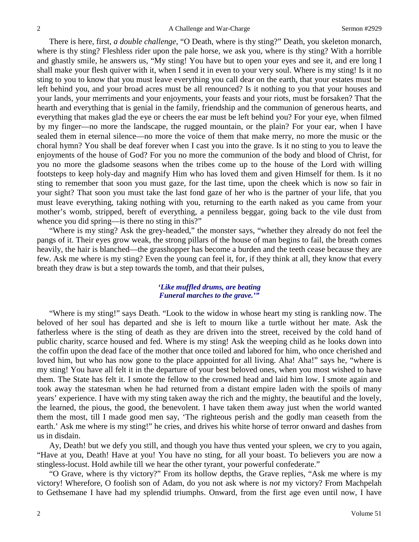There is here, first, *a double challenge*, "O Death, where is thy sting?" Death, you skeleton monarch, where is thy sting? Fleshless rider upon the pale horse, we ask you, where is thy sting? With a horrible and ghastly smile, he answers us, "My sting! You have but to open your eyes and see it, and ere long I shall make your flesh quiver with it, when I send it in even to your very soul. Where is my sting! Is it no sting to you to know that you must leave everything you call dear on the earth, that your estates must be left behind you, and your broad acres must be all renounced? Is it nothing to you that your houses and your lands, your merriments and your enjoyments, your feasts and your riots, must be forsaken? That the hearth and everything that is genial in the family, friendship and the communion of generous hearts, and everything that makes glad the eye or cheers the ear must be left behind you? For your eye, when filmed by my finger—no more the landscape, the rugged mountain, or the plain? For your ear, when I have sealed them in eternal silence—no more the voice of them that make merry, no more the music or the choral hymn? You shall be deaf forever when I cast you into the grave. Is it no sting to you to leave the enjoyments of the house of God? For you no more the communion of the body and blood of Christ, for you no more the gladsome seasons when the tribes come up to the house of the Lord with willing footsteps to keep holy-day and magnify Him who has loved them and given Himself for them. Is it no sting to remember that soon you must gaze, for the last time, upon the cheek which is now so fair in your sight? That soon you must take the last fond gaze of her who is the partner of your life, that you must leave everything, taking nothing with you, returning to the earth naked as you came from your mother's womb, stripped, bereft of everything, a penniless beggar, going back to the vile dust from whence you did spring—is there no sting in this?"

"Where is my sting? Ask the grey-headed," the monster says, "whether they already do not feel the pangs of it. Their eyes grow weak, the strong pillars of the house of man begins to fail, the breath comes heavily, the hair is blanched—the grasshopper has become a burden and the teeth cease because they are few. Ask me where is my sting? Even the young can feel it, for, if they think at all, they know that every breath they draw is but a step towards the tomb, and that their pulses,

### *'Like muffled drums, are beating Funeral marches to the grave.'"*

"Where is my sting!" says Death. "Look to the widow in whose heart my sting is rankling now. The beloved of her soul has departed and she is left to mourn like a turtle without her mate. Ask the fatherless where is the sting of death as they are driven into the street, received by the cold hand of public charity, scarce housed and fed. Where is my sting! Ask the weeping child as he looks down into the coffin upon the dead face of the mother that once toiled and labored for him, who once cherished and loved him, but who has now gone to the place appointed for all living. Aha! Aha!" says he, "where is my sting! You have all felt it in the departure of your best beloved ones, when you most wished to have them. The State has felt it. I smote the fellow to the crowned head and laid him low. I smote again and took away the statesman when he had returned from a distant empire laden with the spoils of many years' experience. I have with my sting taken away the rich and the mighty, the beautiful and the lovely, the learned, the pious, the good, the benevolent. I have taken them away just when the world wanted them the most, till I made good men say, 'The righteous perish and the godly man ceaseth from the earth.' Ask me where is my sting!" he cries, and drives his white horse of terror onward and dashes from us in disdain.

Ay, Death! but we defy you still, and though you have thus vented your spleen, we cry to you again, "Have at you, Death! Have at you! You have no sting, for all your boast. To believers you are now a stingless-locust. Hold awhile till we hear the other tyrant, your powerful confederate."

"O Grave, where is thy victory?" From its hollow depths, the Grave replies, "Ask me where is my victory! Wherefore, O foolish son of Adam, do you not ask where is *not* my victory? From Machpelah to Gethsemane I have had my splendid triumphs. Onward, from the first age even until now, I have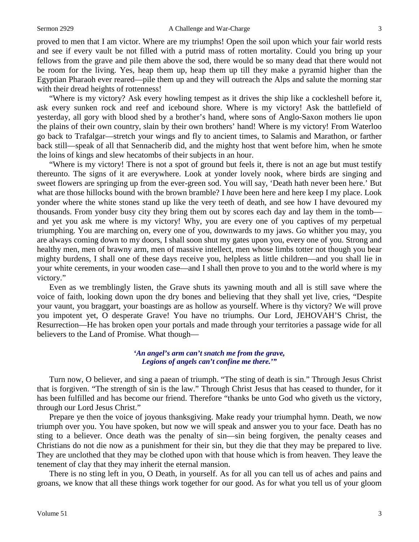proved to men that I am victor. Where are my triumphs! Open the soil upon which your fair world rests and see if every vault be not filled with a putrid mass of rotten mortality. Could you bring up your fellows from the grave and pile them above the sod, there would be so many dead that there would not be room for the living. Yes, heap them up, heap them up till they make a pyramid higher than the Egyptian Pharaoh ever reared—pile them up and they will outreach the Alps and salute the morning star with their dread heights of rottenness!

"Where is my victory? Ask every howling tempest as it drives the ship like a cockleshell before it, ask every sunken rock and reef and icebound shore. Where is my victory! Ask the battlefield of yesterday, all gory with blood shed by a brother's hand, where sons of Anglo-Saxon mothers lie upon the plains of their own country, slain by their own brothers' hand! Where is my victory! From Waterloo go back to Trafalgar—stretch your wings and fly to ancient times, to Salamis and Marathon, or farther back still—speak of all that Sennacherib did, and the mighty host that went before him, when he smote the loins of kings and slew hecatombs of their subjects in an hour.

"Where is my victory! There is not a spot of ground but feels it, there is not an age but must testify thereunto. The signs of it are everywhere. Look at yonder lovely nook, where birds are singing and sweet flowers are springing up from the ever-green sod. You will say, 'Death hath never been here.' But what are those hillocks bound with the brown bramble? I *have* been here and here keep I my place. Look yonder where the white stones stand up like the very teeth of death, and see how I have devoured my thousands. From yonder busy city they bring them out by scores each day and lay them in the tomb and yet you ask me where is my victory! Why, you are every one of you captives of my perpetual triumphing. You are marching on, every one of you, downwards to my jaws. Go whither you may, you are always coming down to my doors, I shall soon shut my gates upon you, every one of you. Strong and healthy men, men of brawny arm, men of massive intellect, men whose limbs totter not though you bear mighty burdens, I shall one of these days receive you, helpless as little children—and you shall lie in your white cerements, in your wooden case—and I shall then prove to you and to the world where is my victory."

Even as we tremblingly listen, the Grave shuts its yawning mouth and all is still save where the voice of faith, looking down upon the dry bones and believing that they shall yet live, cries, "Despite your vaunt, you braggart, your boastings are as hollow as yourself. Where is thy victory? We will prove you impotent yet, O desperate Grave! You have no triumphs. Our Lord, JEHOVAH'S Christ, the Resurrection—He has broken open your portals and made through your territories a passage wide for all believers to the Land of Promise. What though—

### *'An angel's arm can't snatch me from the grave, Legions of angels can't confine me there.'"*

Turn now, O believer, and sing a paean of triumph. "The sting of death is sin." Through Jesus Christ that is forgiven. "The strength of sin is the law." Through Christ Jesus that has ceased to thunder, for it has been fulfilled and has become our friend. Therefore "thanks be unto God who giveth us the victory, through our Lord Jesus Christ."

Prepare ye then the voice of joyous thanksgiving. Make ready your triumphal hymn. Death, we now triumph over you. You have spoken, but now we will speak and answer you to your face. Death has no sting to a believer. Once death was the penalty of sin—sin being forgiven, the penalty ceases and Christians do not die now as a punishment for their sin, but they die that they may be prepared to live. They are unclothed that they may be clothed upon with that house which is from heaven. They leave the tenement of clay that they may inherit the eternal mansion.

There is no sting left in you, O Death, in yourself. As for all you can tell us of aches and pains and groans, we know that all these things work together for our good. As for what you tell us of your gloom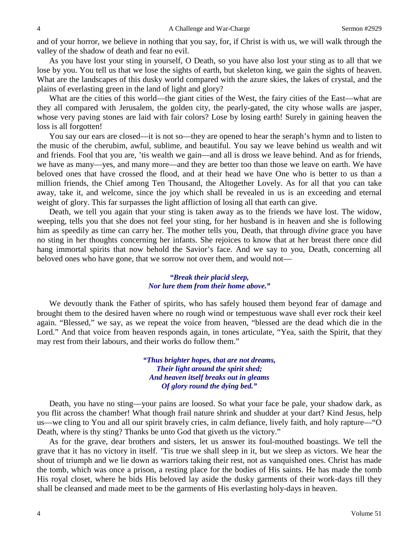and of your horror, we believe in nothing that you say, for, if Christ is with us, we will walk through the valley of the shadow of death and fear no evil.

As you have lost your sting in yourself, O Death, so you have also lost your sting as to all that we lose by you. You tell us that we lose the sights of earth, but skeleton king, we gain the sights of heaven. What are the landscapes of this dusky world compared with the azure skies, the lakes of crystal, and the plains of everlasting green in the land of light and glory?

What are the cities of this world—the giant cities of the West, the fairy cities of the East—what are they all compared with Jerusalem, the golden city, the pearly-gated, the city whose walls are jasper, whose very paving stones are laid with fair colors? Lose by losing earth! Surely in gaining heaven the loss is all forgotten!

You say our ears are closed—it is not so—they are opened to hear the seraph's hymn and to listen to the music of the cherubim, awful, sublime, and beautiful. You say we leave behind us wealth and wit and friends. Fool that you are, 'tis wealth we gain—and all is dross we leave behind. And as for friends, we have as many—yes, and many more—and they are better too than those we leave on earth. We have beloved ones that have crossed the flood, and at their head we have One who is better to us than a million friends, the Chief among Ten Thousand, the Altogether Lovely. As for all that you can take away, take it, and welcome, since the joy which shall be revealed in us is an exceeding and eternal weight of glory. This far surpasses the light affliction of losing all that earth can give.

Death, we tell you again that your sting is taken away as to the friends we have lost. The widow, weeping, tells you that she does not feel your sting, for her husband is in heaven and she is following him as speedily as time can carry her. The mother tells you, Death, that through *divine* grace you have no sting in her thoughts concerning her infants. She rejoices to know that at her breast there once did hang immortal spirits that now behold the Savior's face. And we say to you, Death, concerning all beloved ones who have gone, that we sorrow not over them, and would not—

#### *"Break their placid sleep, Nor lure them from their home above."*

We devoutly thank the Father of spirits, who has safely housed them beyond fear of damage and brought them to the desired haven where no rough wind or tempestuous wave shall ever rock their keel again. "Blessed," we say, as we repeat the voice from heaven, "blessed are the dead which die in the Lord." And that voice from heaven responds again, in tones articulate, "Yea, saith the Spirit, that they may rest from their labours, and their works do follow them."

> *"Thus brighter hopes, that are not dreams, Their light around the spirit shed; And heaven itself breaks out in gleams Of glory round the dying bed."*

Death, you have no sting—your pains are loosed. So what your face be pale, your shadow dark, as you flit across the chamber! What though frail nature shrink and shudder at your dart? Kind Jesus, help us—we cling to You and all our spirit bravely cries, in calm defiance, lively faith, and holy rapture—"O Death, where is thy sting? Thanks be unto God that giveth us the victory."

As for the grave, dear brothers and sisters, let us answer its foul-mouthed boastings. We tell the grave that it has no victory in itself. 'Tis true we shall sleep in it, but we sleep as victors. We hear the shout of triumph and we lie down as warriors taking their rest, not as vanquished ones. Christ has made the tomb, which was once a prison, a resting place for the bodies of His saints. He has made the tomb His royal closet, where he bids His beloved lay aside the dusky garments of their work-days till they shall be cleansed and made meet to be the garments of His everlasting holy-days in heaven.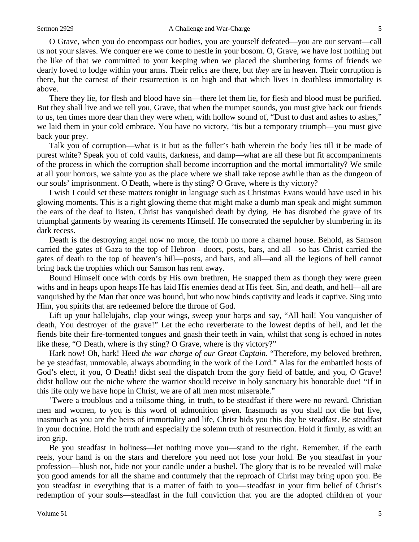O Grave, when you do encompass our bodies, you are yourself defeated—you are our servant—call us not your slaves. We conquer ere we come to nestle in your bosom. O, Grave, we have lost nothing but the like of that we committed to your keeping when we placed the slumbering forms of friends we dearly loved to lodge within your arms. Their relics are there, but *they* are in heaven. Their corruption is there, but the earnest of their resurrection is on high and that which lives in deathless immortality is above.

There they lie, for flesh and blood have sin—there let them lie, for flesh and blood must be purified. But they shall live and we tell you, Grave, that when the trumpet sounds, you must give back our friends to us, ten times more dear than they were when, with hollow sound of, "Dust to dust and ashes to ashes," we laid them in your cold embrace. You have no victory, 'tis but a temporary triumph—you must give back your prey.

Talk you of corruption—what is it but as the fuller's bath wherein the body lies till it be made of purest white? Speak you of cold vaults, darkness, and damp—what are all these but fit accompaniments of the process in which the corruption shall become incorruption and the mortal immortality? We smile at all your horrors, we salute you as the place where we shall take repose awhile than as the dungeon of our souls' imprisonment. O Death, where is thy sting? O Grave, where is thy victory?

I wish I could set these matters tonight in language such as Christmas Evans would have used in his glowing moments. This is a right glowing theme that might make a dumb man speak and might summon the ears of the deaf to listen. Christ has vanquished death by dying. He has disrobed the grave of its triumphal garments by wearing its cerements Himself. He consecrated the sepulcher by slumbering in its dark recess.

Death is the destroying angel now no more, the tomb no more a charnel house. Behold, as Samson carried the gates of Gaza to the top of Hebron—doors, posts, bars, and all—so has Christ carried the gates of death to the top of heaven's hill—posts, and bars, and all—and all the legions of hell cannot bring back the trophies which our Samson has rent away.

Bound Himself once with cords by His own brethren, He snapped them as though they were green withs and in heaps upon heaps He has laid His enemies dead at His feet. Sin, and death, and hell—all are vanquished by the Man that once was bound, but who now binds captivity and leads it captive. Sing unto Him, you spirits that are redeemed before the throne of God.

Lift up your hallelujahs, clap your wings, sweep your harps and say, "All hail! You vanquisher of death, You destroyer of the grave!" Let the echo reverberate to the lowest depths of hell, and let the fiends bite their fire-tormented tongues and gnash their teeth in vain, whilst that song is echoed in notes like these, "O Death, where is thy sting? O Grave, where is thy victory?"

Hark now! Oh, hark! Heed *the war charge of our Great Captain*. "Therefore, my beloved brethren, be ye steadfast, unmovable, always abounding in the work of the Lord." Alas for the embattled hosts of God's elect, if you, O Death! didst seal the dispatch from the gory field of battle, and you, O Grave! didst hollow out the niche where the warrior should receive in holy sanctuary his honorable due! "If in this life only we have hope in Christ, we are of all men most miserable."

'Twere a troublous and a toilsome thing, in truth, to be steadfast if there were no reward. Christian men and women, to you is this word of admonition given. Inasmuch as you shall not die but live, inasmuch as you are the heirs of immortality and life, Christ bids you this day be steadfast. Be steadfast in your doctrine. Hold the truth and especially the solemn truth of resurrection. Hold it firmly, as with an iron grip.

Be you steadfast in holiness—let nothing move you—stand to the right. Remember, if the earth reels, your hand is on the stars and therefore you need not lose your hold. Be you steadfast in your profession—blush not, hide not your candle under a bushel. The glory that is to be revealed will make you good amends for all the shame and contumely that the reproach of Christ may bring upon you. Be you steadfast in everything that is a matter of faith to you—steadfast in your firm belief of Christ's redemption of your souls—steadfast in the full conviction that you are the adopted children of your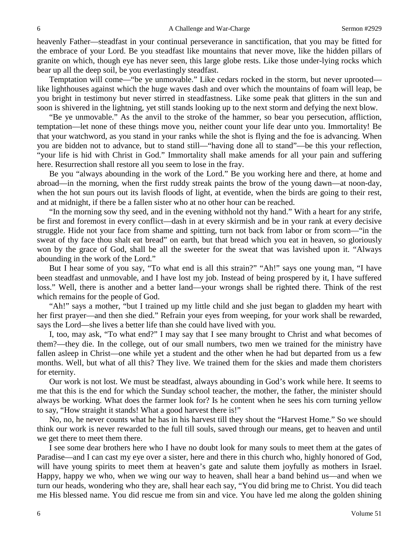heavenly Father—steadfast in your continual perseverance in sanctification, that you may be fitted for the embrace of your Lord. Be you steadfast like mountains that never move, like the hidden pillars of granite on which, though eye has never seen, this large globe rests. Like those under-lying rocks which bear up all the deep soil, be you everlastingly steadfast.

Temptation will come—"be ye unmovable." Like cedars rocked in the storm, but never uprooted like lighthouses against which the huge waves dash and over which the mountains of foam will leap, be you bright in testimony but never stirred in steadfastness. Like some peak that glitters in the sun and soon is shivered in the lightning, yet still stands looking up to the next storm and defying the next blow.

"Be ye unmovable." As the anvil to the stroke of the hammer, so bear you persecution, affliction, temptation—let none of these things move you, neither count your life dear unto you. Immortality! Be that your watchword, as you stand in your ranks while the shot is flying and the foe is advancing. When you are bidden not to advance, but to stand still—"having done all to stand"—be this your reflection, "your life is hid with Christ in God." Immortality shall make amends for all your pain and suffering here. Resurrection shall restore all you seem to lose in the fray.

Be you "always abounding in the work of the Lord." Be you working here and there, at home and abroad—in the morning, when the first ruddy streak paints the brow of the young dawn—at noon-day, when the hot sun pours out its lavish floods of light, at eventide, when the birds are going to their rest, and at midnight, if there be a fallen sister who at no other hour can be reached.

"In the morning sow thy seed, and in the evening withhold not thy hand." With a heart for any strife, be first and foremost in every conflict—dash in at every skirmish and be in your rank at every decisive struggle. Hide not your face from shame and spitting, turn not back from labor or from scorn—"in the sweat of thy face thou shalt eat bread" on earth, but that bread which you eat in heaven, so gloriously won by the grace of God, shall be all the sweeter for the sweat that was lavished upon it. "Always abounding in the work of the Lord."

But I hear some of you say, "To what end is all this strain?" "Ah!" says one young man, "I have been steadfast and unmovable, and I have lost my job. Instead of being prospered by it, I have suffered loss." Well, there is another and a better land—your wrongs shall be righted there. Think of the rest which remains for the people of God.

"Ah!" says a mother, "but I trained up my little child and she just began to gladden my heart with her first prayer—and then she died." Refrain your eyes from weeping, for your work shall be rewarded, says the Lord—she lives a better life than she could have lived with you.

I, too, may ask, "To what end?" I may say that I see many brought to Christ and what becomes of them?—they die. In the college, out of our small numbers, two men we trained for the ministry have fallen asleep in Christ—one while yet a student and the other when he had but departed from us a few months. Well, but what of all this? They live. We trained them for the skies and made them choristers for eternity.

Our work is not lost. We must be steadfast, always abounding in God's work while here. It seems to me that this is the end for which the Sunday school teacher, the mother, the father, the minister should always be working. What does the farmer look for? Is he content when he sees his corn turning yellow to say, "How straight it stands! What a good harvest there is!"

No, no, he never counts what he has in his harvest till they shout the "Harvest Home." So we should think our work is never rewarded to the full till souls, saved through our means, get to heaven and until we get there to meet them there.

I see some dear brothers here who I have no doubt look for many souls to meet them at the gates of Paradise—and I can cast my eye over a sister, here and there in this church who, highly honored of God, will have young spirits to meet them at heaven's gate and salute them joyfully as mothers in Israel. Happy, happy we who, when we wing our way to heaven, shall hear a band behind us—and when we turn our heads, wondering who they are, shall hear each say, "You did bring me to Christ. You did teach me His blessed name. You did rescue me from sin and vice. You have led me along the golden shining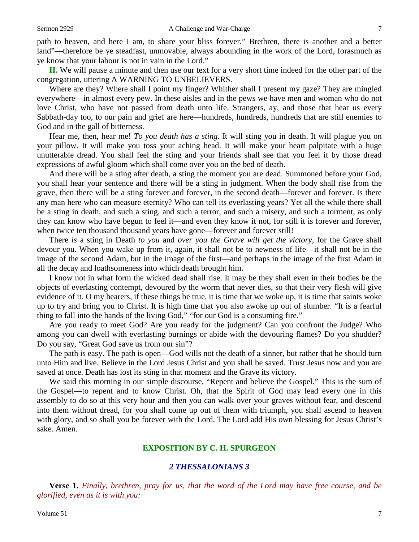path to heaven, and here I am, to share your bliss forever." Brethren, there is another and a better land"—therefore be ye steadfast, unmovable, always abounding in the work of the Lord, forasmuch as ye know that your labour is not in vain in the Lord."

**II.** We will pause a minute and then use our text for a very short time indeed for the other part of the congregation, uttering A WARNING TO UNBELIEVERS.

Where are they? Where shall I point my finger? Whither shall I present my gaze? They are mingled everywhere—in almost every pew. In these aisles and in the pews we have men and woman who do not love Christ, who have not passed from death unto life. Strangers, ay, and those that hear us every Sabbath-day too, to our pain and grief are here—hundreds, hundreds, hundreds that are still enemies to God and in the gall of bitterness.

Hear me, then, hear me! *To you death has a sting*. It will sting you in death. It will plague you on your pillow. It will make you toss your aching head. It will make your heart palpitate with a huge unutterable dread. You shall feel the sting and your friends shall see that you feel it by those dread expressions of awful gloom which shall come over you on the bed of death.

And there will be a sting after death, a sting the moment you are dead. Summoned before your God, you shall hear your sentence and there will be a sting in judgment. When the body shall rise from the grave, then there will be a sting forever and forever, in the second death—forever and forever. Is there any man here who can measure eternity? Who can tell its everlasting years? Yet all the while there shall be a sting in death, and such a sting, and such a terror, and such a misery, and such a torment, as only they can know who have begun to feel it—and even they know it not, for still it is forever and forever, when twice ten thousand thousand years have gone—forever and forever still!

There *is* a sting in Death *to you* and *over you the Grave will get the victory*, for the Grave shall devour you. When you wake up from it, again, it shall not be to newness of life—it shall not be in the image of the second Adam, but in the image of the first—and perhaps in the image of the first Adam in all the decay and loathsomeness into which death brought him.

I know not in what form the wicked dead shall rise. It may be they shall even in their bodies be the objects of everlasting contempt, devoured by the worm that never dies, so that their very flesh will give evidence of it. O my hearers, if these things be true, it is time that we woke up, it is time that saints woke up to try and bring you to Christ. It is high time that you also awoke up out of slumber. "It is a fearful thing to fall into the hands of the living God," "for our God is a consuming fire."

Are you ready to meet God? Are you ready for the judgment? Can you confront the Judge? Who among you can dwell with everlasting burnings or abide with the devouring flames? Do you shudder? Do you say, "Great God save us from our sin"?

The path is easy. The path is open—God wills not the death of a sinner, but rather that he should turn unto Him and live. Believe in the Lord Jesus Christ and you shall be saved. Trust Jesus now and you are saved at once. Death has lost its sting in that moment and the Grave its victory.

We said this morning in our simple discourse, "Repent and believe the Gospel." This is the sum of the Gospel—to repent and to know Christ. Oh, that the Spirit of God may lead every one in this assembly to do so at this very hour and then you can walk over your graves without fear, and descend into them without dread, for you shall come up out of them with triumph, you shall ascend to heaven with glory, and so shall you be forever with the Lord. The Lord add His own blessing for Jesus Christ's sake. Amen.

# **EXPOSITION BY C. H. SPURGEON**

### *2 THESSALONIANS 3*

**Verse 1.** *Finally, brethren, pray for us, that the word of the Lord may have free course, and be glorified, even as it is with you:*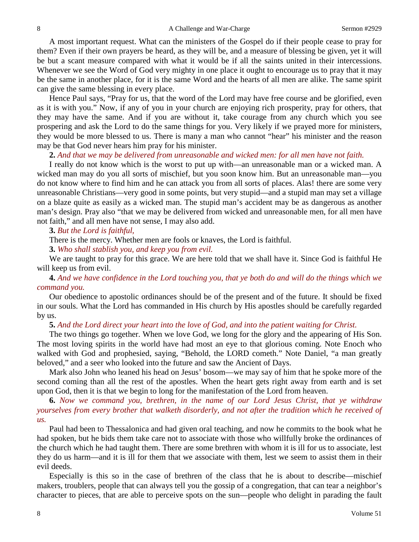A most important request. What can the ministers of the Gospel do if their people cease to pray for them? Even if their own prayers be heard, as they will be, and a measure of blessing be given, yet it will be but a scant measure compared with what it would be if all the saints united in their intercessions. Whenever we see the Word of God very mighty in one place it ought to encourage us to pray that it may be the same in another place, for it is the same Word and the hearts of all men are alike. The same spirit can give the same blessing in every place.

Hence Paul says, "Pray for us, that the word of the Lord may have free course and be glorified, even as it is with you." Now, if any of you in your church are enjoying rich prosperity, pray for others, that they may have the same. And if you are without it, take courage from any church which you see prospering and ask the Lord to do the same things for you. Very likely if we prayed more for ministers, they would be more blessed to us. There is many a man who cannot "hear" his minister and the reason may be that God never hears him pray for his minister.

# **2.** *And that we may be delivered from unreasonable and wicked men: for all men have not faith.*

I really do not know which is the worst to put up with—an unreasonable man or a wicked man. A wicked man may do you all sorts of mischief, but you soon know him. But an unreasonable man—you do not know where to find him and he can attack you from all sorts of places. Alas! there are some very unreasonable Christians—very good in some points, but very stupid—and a stupid man may set a village on a blaze quite as easily as a wicked man. The stupid man's accident may be as dangerous as another man's design. Pray also "that we may be delivered from wicked and unreasonable men, for all men have not faith," and all men have not sense, I may also add.

# **3.** *But the Lord is faithful,*

There is the mercy. Whether men are fools or knaves, the Lord is faithful.

**3.** *Who shall stablish you, and keep you from evil.* 

We are taught to pray for this grace. We are here told that we shall have it. Since God is faithful He will keep us from evil.

**4.** *And we have confidence in the Lord touching you, that ye both do and will do the things which we command you.* 

Our obedience to apostolic ordinances should be of the present and of the future. It should be fixed in our souls. What the Lord has commanded in His church by His apostles should be carefully regarded by us.

**5.** *And the Lord direct your heart into the love of God, and into the patient waiting for Christ.* 

The two things go together. When we love God, we long for the glory and the appearing of His Son. The most loving spirits in the world have had most an eye to that glorious coming. Note Enoch who walked with God and prophesied, saying, "Behold, the LORD cometh." Note Daniel, "a man greatly beloved," and a seer who looked into the future and saw the Ancient of Days.

Mark also John who leaned his head on Jesus' bosom—we may say of him that he spoke more of the second coming than all the rest of the apostles. When the heart gets right away from earth and is set upon God, then it is that we begin to long for the manifestation of the Lord from heaven.

**6.** *Now we command you, brethren, in the name of our Lord Jesus Christ, that ye withdraw yourselves from every brother that walketh disorderly, and not after the tradition which he received of us.* 

Paul had been to Thessalonica and had given oral teaching, and now he commits to the book what he had spoken, but he bids them take care not to associate with those who willfully broke the ordinances of the church which he had taught them. There are some brethren with whom it is ill for us to associate, lest they do us harm—and it is ill for them that we associate with them, lest we seem to assist them in their evil deeds.

Especially is this so in the case of brethren of the class that he is about to describe—mischief makers, troublers, people that can always tell you the gossip of a congregation, that can tear a neighbor's character to pieces, that are able to perceive spots on the sun—people who delight in parading the fault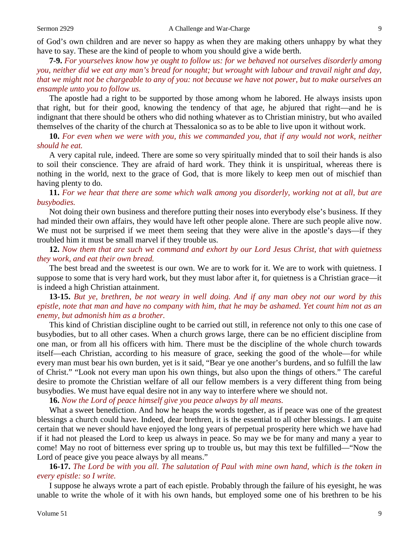of God's own children and are never so happy as when they are making others unhappy by what they have to say. These are the kind of people to whom you should give a wide berth.

**7-9.** *For yourselves know how ye ought to follow us: for we behaved not ourselves disorderly among you, neither did we eat any man's bread for nought; but wrought with labour and travail night and day, that we might not be chargeable to any of you: not because we have not power, but to make ourselves an ensample unto you to follow us.* 

The apostle had a right to be supported by those among whom he labored. He always insists upon that right, but for their good, knowing the tendency of that age, he abjured that right—and he is indignant that there should be others who did nothing whatever as to Christian ministry, but who availed themselves of the charity of the church at Thessalonica so as to be able to live upon it without work.

**10.** *For even when we were with you, this we commanded you, that if any would not work, neither should he eat.* 

A very capital rule, indeed. There are some so very spiritually minded that to soil their hands is also to soil their conscience. They are afraid of hard work. They think it is unspiritual, whereas there is nothing in the world, next to the grace of God, that is more likely to keep men out of mischief than having plenty to do.

**11.** *For we hear that there are some which walk among you disorderly, working not at all, but are busybodies.* 

Not doing their own business and therefore putting their noses into everybody else's business. If they had minded their own affairs, they would have left other people alone. There are such people alive now. We must not be surprised if we meet them seeing that they were alive in the apostle's days—if they troubled him it must be small marvel if they trouble us.

**12.** *Now them that are such we command and exhort by our Lord Jesus Christ, that with quietness they work, and eat their own bread.* 

The best bread and the sweetest is our own. We are to work for it. We are to work with quietness. I suppose to some that is very hard work, but they must labor after it, for quietness is a Christian grace—it is indeed a high Christian attainment.

**13-15.** *But ye, brethren, be not weary in well doing. And if any man obey not our word by this epistle, note that man and have no company with him, that he may be ashamed. Yet count him not as an enemy, but admonish him as a brother.* 

This kind of Christian discipline ought to be carried out still, in reference not only to this one case of busybodies, but to all other cases. When a church grows large, there can be no efficient discipline from one man, or from all his officers with him. There must be the discipline of the whole church towards itself—each Christian, according to his measure of grace, seeking the good of the whole—for while every man must bear his own burden, yet is it said, "Bear ye one another's burdens, and so fulfill the law of Christ." "Look not every man upon his own things, but also upon the things of others." The careful desire to promote the Christian welfare of all our fellow members is a very different thing from being busybodies. We must have equal desire not in any way to interfere where we should not.

**16.** *Now the Lord of peace himself give you peace always by all means.* 

What a sweet benediction. And how he heaps the words together, as if peace was one of the greatest blessings a church could have. Indeed, dear brethren, it is the essential to all other blessings. I am quite certain that we never should have enjoyed the long years of perpetual prosperity here which we have had if it had not pleased the Lord to keep us always in peace. So may we be for many and many a year to come! May no root of bitterness ever spring up to trouble us, but may this text be fulfilled—"Now the Lord of peace give you peace always by all means."

**16-17.** *The Lord be with you all. The salutation of Paul with mine own hand, which is the token in every epistle: so I write.* 

I suppose he always wrote a part of each epistle. Probably through the failure of his eyesight, he was unable to write the whole of it with his own hands, but employed some one of his brethren to be his